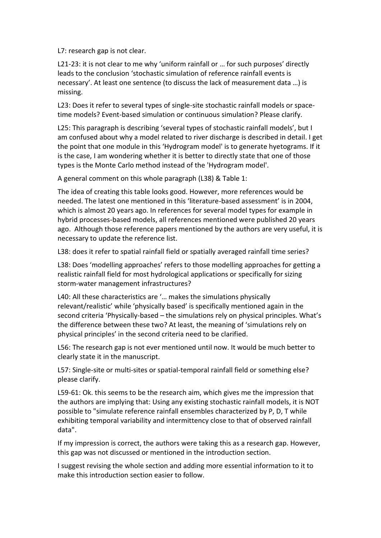L7: research gap is not clear.

L21-23: it is not clear to me why 'uniform rainfall or … for such purposes' directly leads to the conclusion 'stochastic simulation of reference rainfall events is necessary'. At least one sentence (to discuss the lack of measurement data …) is missing.

L23: Does it refer to several types of single-site stochastic rainfall models or spacetime models? Event-based simulation or continuous simulation? Please clarify.

L25: This paragraph is describing 'several types of stochastic rainfall models', but I am confused about why a model related to river discharge is described in detail. I get the point that one module in this 'Hydrogram model' is to generate hyetograms. If it is the case, I am wondering whether it is better to directly state that one of those types is the Monte Carlo method instead of the 'Hydrogram model'.

A general comment on this whole paragraph (L38) & Table 1:

The idea of creating this table looks good. However, more references would be needed. The latest one mentioned in this 'literature-based assessment' is in 2004, which is almost 20 years ago. In references for several model types for example in hybrid processes-based models, all references mentioned were published 20 years ago. Although those reference papers mentioned by the authors are very useful, it is necessary to update the reference list.

L38: does it refer to spatial rainfall field or spatially averaged rainfall time series?

L38: Does 'modelling approaches' refers to those modelling approaches for getting a realistic rainfall field for most hydrological applications or specifically for sizing storm-water management infrastructures?

L40: All these characteristics are '… makes the simulations physically relevant/realistic' while 'physically based' is specifically mentioned again in the second criteria 'Physically-based – the simulations rely on physical principles. What's the difference between these two? At least, the meaning of 'simulations rely on physical principles' in the second criteria need to be clarified.

L56: The research gap is not ever mentioned until now. It would be much better to clearly state it in the manuscript.

L57: Single-site or multi-sites or spatial-temporal rainfall field or something else? please clarify.

L59-61: Ok. this seems to be the research aim, which gives me the impression that the authors are implying that: Using any existing stochastic rainfall models, it is NOT possible to "simulate reference rainfall ensembles characterized by P, D, T while exhibiting temporal variability and intermittency close to that of observed rainfall data".

If my impression is correct, the authors were taking this as a research gap. However, this gap was not discussed or mentioned in the introduction section.

I suggest revising the whole section and adding more essential information to it to make this introduction section easier to follow.